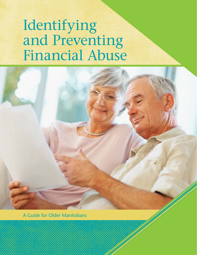# Identifying and Preventing Financial Abuse



A Guide for Older Manitobans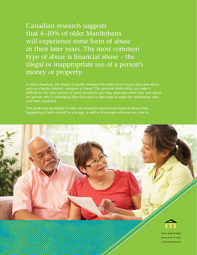Canadian research suggests that 4–10% of older Manitobans will experience some form of abuse in their later years. The most common type of abuse is financial abuse – the illegal or inappropriate use of a person's money or property.

In these situations, the abuser is usually someone the older person trusts and cares about, such as a family member, caregiver or friend. This personal relationship can make it difficult for the older person to come forward to get help, especially when they care about the person who is mistreating them but want to take steps to make the relationship safer and more respectful.

This guide was developed to help you recognize and prevent financial abuse from happening to both yourself as you age, as well as the people who you are close to.

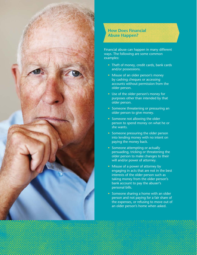

## **How Does Financial Abuse Happen?**

Financial abuse can happen in many different ways. The following are some common examples:

- Theft of money, credit cards, bank cards and/or possessions.
- Misuse of an older person's money by cashing cheques or accessing accounts without permission from the older person.
- Use of the older person's money for purposes other than intended by that older person.
- Someone threatening or pressuring an older person to give money.
- Someone not allowing the older person to spend money on what he or she wants.
- Someone pressuring the older person into lending money with no intent on paying the money back.
- Someone attempting or actually persuading, tricking or threatening the older person to make changes to their will and/or power of attorney.
- Misuse of a power of attorney by engaging in acts that are not in the best interests of the older person such as taking money from the older person's bank account to pay the abuser's personal bills.
- Someone sharing a home with an older person and not paying for a fair share of the expenses, or refusing to move out of an older person's home when asked.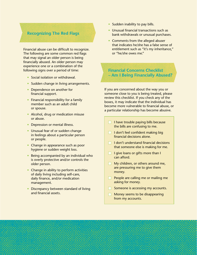#### **Recognizing The Red Flags**

Financial abuse can be difficult to recognize. The following are some common red flags that may signal an older person is being financially abused. An older person may experience one or a combination of the following signs over a period of time:

- Social isolation or withdrawal.
- Sudden change in living arrangements.
- Dependence on another for financial support.
- Financial responsibility for a family member such as an adult child or spouse.
- Alcohol, drug or medication misuse or abuse.
- Depression or mental illness.
- Unusual fear of or sudden change in feelings about a particular person or people.
- Change in appearance such as poor hygiene or sudden weight loss.
- Being accompanied by an individual who is overly protective and/or controls the older person.
- Change in ability to perform activities of daily living including self-care, daily finance, and/or medication management.
- Discrepancy between standard of living and financial assets.
- Sudden inability to pay bills.
- Unusual financial transactions such as bank withdrawals or unusual purchases.
- Comments from the alleged abuser that indicates he/she has a false sense of entitlement such as "it's my inheritance," or "he/she owes me."

### **Financial Concerns Checklist – Am I Being Financially Abused?**

If you are concerned about the way you or someone close to you is being treated, please review this checklist. If you check any of the boxes, it may indicate that the individual has become more vulnerable to financial abuse, or a particular relationship has become abusive.

- $\Box$  I have trouble paying bills because the bills are confusing to me.
- $\Box$  I don't feel confident making big financial decisions alone.
- $\Box$  I don't understand financial decisions that someone else is making for me.
- $\Box$  I give loans or gifts more than I can afford.
- $\Box$  My children, or others around me, are pressuring me to give them money.
- $\Box$  People are calling me or mailing me asking for money.
- $\Box$  Someone is accessing my accounts.
- $\Box$  Money seems to be disappearing from my accounts.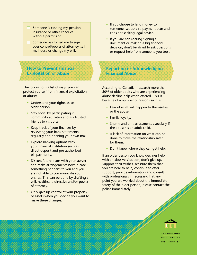- $\Box$  Someone is cashing my pension, insurance or other cheques without permission.
- $\Box$  Someone has forced me to sign over control/power of attorney, sell my house or change my will.

**How to Prevent Financial Exploitation or Abuse**

The following is a list of ways you can protect yourself from financial exploitation or abuse:

- Understand your rights as an older person.
- Stay social by participating in community activities and ask trusted friends to visit often.
- Keep track of your finances by reviewing your bank statements regularly and opening your own mail.
- Explore banking options with your financial institution such as direct deposit and pre-authorized bill payments.
- Discuss future plans with your lawyer and make arrangements now in case something happens to you and you are not able to communicate your wishes. This can be done by drafting a will, healthcare directive and/or power of attorney.
- Only give up control of your property or assets when you decide you want to make these changes.
- If you choose to lend money to someone, set up a re-payment plan and consider seeking legal advice.
- If you are considering signing a document or making a big financial decision, don't be afraid to ask questions or request help from someone you trust.

**Reporting or Acknowledging Financial Abuse**

According to Canadian research more than 50% of older adults who are experiencing abuse decline help when offered. This is because of a number of reasons such as:

- Fear of what will happen to themselves or the abuser.
- Family loyalty.
- Shame and embarrassment, especially if the abuser is an adult child.
- A lack of information on what can be done to make the relationship safer for them.
- Don't know where they can get help.

If an older person you know declines help with an abusive situation, don't give up. Support their wishes, reassure them that you are here to help, continue to offer support, provide information and consult with professionals if necessary. If at any point you are worried about the immediate safety of the older person, please contact the police immediately.



THE MANITORA **SECURITIES COMMISSION**